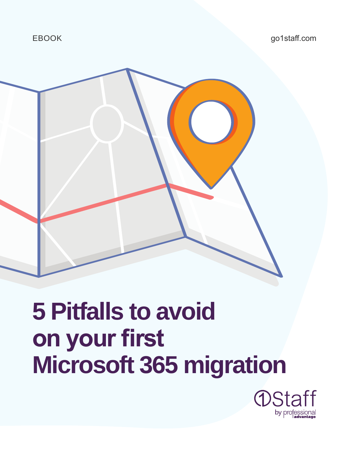

### **5 Pitfalls to avoid on your first Microsoft 365 migration**

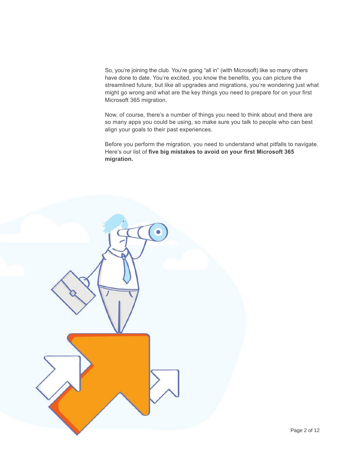So, you're joining the club. You're going "all in" (with Microsoft) like so many others have done to date. You're excited, you know the benefits, you can picture the streamlined future, but like all upgrades and migrations, you're wondering just what might go wrong and what are the key things you need to prepare for on your first Microsoft 365 migration.

Now, of course, there's a number of things you need to think about and there are so many apps you could be using, so make sure you talk to people who can best align your goals to their past experiences.

Before you perform the migration, you need to understand what pitfalls to navigate. Here's our list of **five big mistakes to avoid on your first Microsoft 365 migration.**

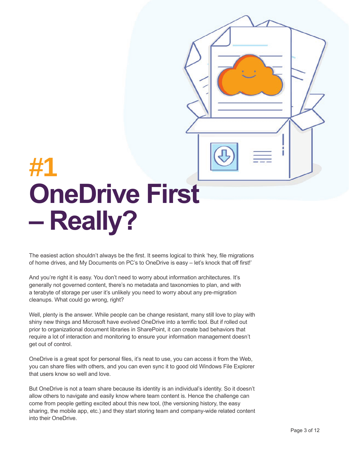# **#1 OneDrive First – Really?**

The easiest action shouldn't always be the first. It seems logical to think 'hey, file migrations of home drives, and My Documents on PC's to OneDrive is easy – let's knock that off first!'

And you're right it is easy. You don't need to worry about information architectures. It's generally not governed content, there's no metadata and taxonomies to plan, and with a terabyte of storage per user it's unlikely you need to worry about any pre-migration cleanups. What could go wrong, right?

Well, plenty is the answer. While people can be change resistant, many still love to play with shiny new things and Microsoft have evolved OneDrive into a terrific tool. But if rolled out prior to organizational document libraries in SharePoint, it can create bad behaviors that require a lot of interaction and monitoring to ensure your information management doesn't get out of control.

OneDrive is a great spot for personal files, it's neat to use, you can access it from the Web, you can share files with others, and you can even sync it to good old Windows File Explorer that users know so well and love.

But OneDrive is not a team share because its identity is an individual's identity. So it doesn't allow others to navigate and easily know where team content is. Hence the challenge can come from people getting excited about this new tool, (the versioning history, the easy sharing, the mobile app, etc.) and they start storing team and company-wide related content into their OneDrive.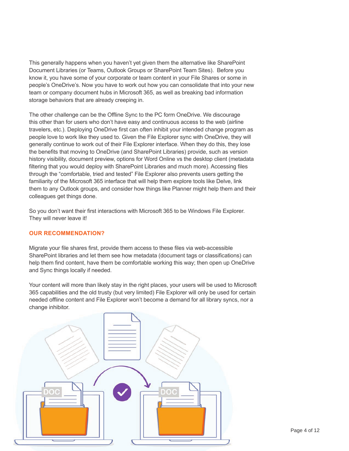This generally happens when you haven't yet given them the alternative like SharePoint Document Libraries (or Teams, Outlook Groups or SharePoint Team Sites). Before you know it, you have some of your corporate or team content in your File Shares or some in people's OneDrive's. Now you have to work out how you can consolidate that into your new team or company document hubs in Microsoft 365, as well as breaking bad information storage behaviors that are already creeping in.

The other challenge can be the Offline Sync to the PC form OneDrive. We discourage this other than for users who don't have easy and continuous access to the web (airline travelers, etc.). Deploying OneDrive first can often inhibit your intended change program as people love to work like they used to. Given the File Explorer sync with OneDrive, they will generally continue to work out of their File Explorer interface. When they do this, they lose the benefits that moving to OneDrive (and SharePoint Libraries) provide, such as version history visibility, document preview, options for Word Online vs the desktop client (metadata filtering that you would deploy with SharePoint Libraries and much more). Accessing files through the "comfortable, tried and tested" File Explorer also prevents users getting the familiarity of the Microsoft 365 interface that will help them explore tools like Delve, link them to any Outlook groups, and consider how things like Planner might help them and their colleagues get things done.

So you don't want their first interactions with Microsoft 365 to be Windows File Explorer. They will never leave it!

#### **OUR RECOMMENDATION?**

Migrate your file shares first, provide them access to these files via web-accessible SharePoint libraries and let them see how metadata (document tags or classifications) can help them find content, have them be comfortable working this way; then open up OneDrive and Sync things locally if needed.

Your content will more than likely stay in the right places, your users will be used to Microsoft 365 capabilities and the old trusty (but very limited) File Explorer will only be used for certain needed offline content and File Explorer won't become a demand for all library syncs, nor a change inhibitor.

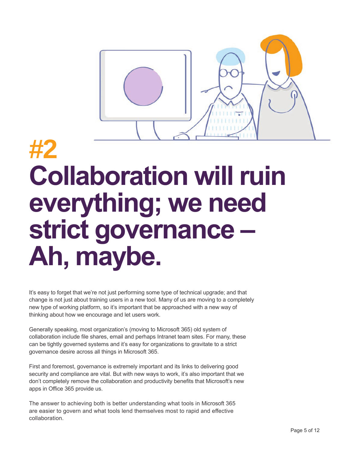

## **#2 Collaboration will ruin everything; we need strict governance – Ah, maybe.**

It's easy to forget that we're not just performing some type of technical upgrade; and that change is not just about training users in a new tool. Many of us are moving to a completely new type of working platform, so it's important that be approached with a new way of thinking about how we encourage and let users work.

Generally speaking, most organization's (moving to Microsoft 365) old system of collaboration include file shares, email and perhaps Intranet team sites. For many, these can be tightly governed systems and it's easy for organizations to gravitate to a strict governance desire across all things in Microsoft 365.

First and foremost, governance is extremely important and its links to delivering good security and compliance are vital. But with new ways to work, it's also important that we don't completely remove the collaboration and productivity benefits that Microsoft's new apps in Office 365 provide us.

The answer to achieving both is better understanding what tools in Microsoft 365 are easier to govern and what tools lend themselves most to rapid and effective collaboration.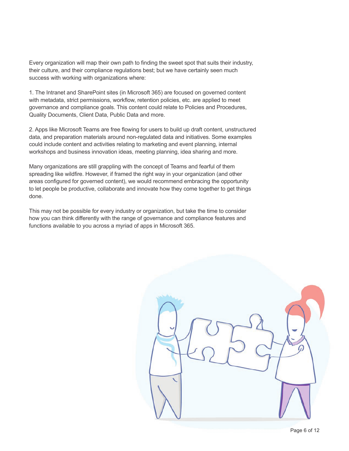Every organization will map their own path to finding the sweet spot that suits their industry, their culture, and their compliance regulations best; but we have certainly seen much success with working with organizations where:

1. The Intranet and SharePoint sites (in Microsoft 365) are focused on governed content with metadata, strict permissions, workflow, retention policies, etc. are applied to meet governance and compliance goals. This content could relate to Policies and Procedures, Quality Documents, Client Data, Public Data and more.

2. Apps like Microsoft Teams are free flowing for users to build up draft content, unstructured data, and preparation materials around non-regulated data and initiatives. Some examples could include content and activities relating to marketing and event planning, internal workshops and business innovation ideas, meeting planning, idea sharing and more.

Many organizations are still grappling with the concept of Teams and fearful of them spreading like wildfire. However, if framed the right way in your organization (and other areas configured for governed content), we would recommend embracing the opportunity to let people be productive, collaborate and innovate how they come together to get things done.

This may not be possible for every industry or organization, but take the time to consider how you can think differently with the range of governance and compliance features and functions available to you across a myriad of apps in Microsoft 365.

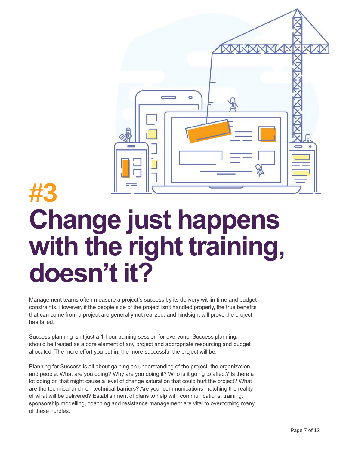

#### **#3 Change just happens with the right training, doesn't it?**

Management teams often measure a project's success by its delivery within time and budget constraints. However, if the people side of the project isn't handled properly, the true benefits that can come from a project are generally not realized. and hindsight will prove the project has failed.

Success planning isn't just a 1-hour training session for everyone. Success planning, should be treated as a core element of any project and appropriate resourcing and budget allocated. The more effort you put in, the more successful the project will be.

Planning for Success is all about gaining an understanding of the project, the organization and people. What are you doing? Why are you doing it? Who is it going to affect? Is there a lot going on that might cause a level of change saturation that could hurt the project? What are the technical and non-technical barriers? Are your communications matching the reality of what will be delivered? Establishment of plans to help with communications, training, sponsorship modelling, coaching and resistance management are vital to overcoming many of these hurdles.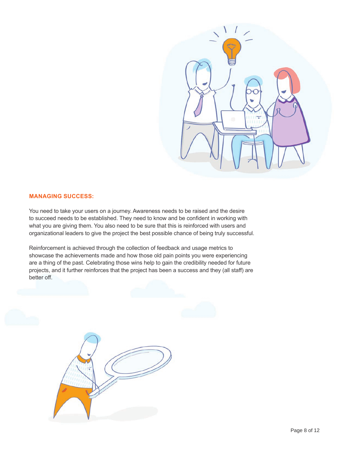

#### **MANAGING SUCCESS:**

You need to take your users on a journey. Awareness needs to be raised and the desire to succeed needs to be established. They need to know and be confident in working with what you are giving them. You also need to be sure that this is reinforced with users and organizational leaders to give the project the best possible chance of being truly successful.

Reinforcement is achieved through the collection of feedback and usage metrics to showcase the achievements made and how those old pain points you were experiencing are a thing of the past. Celebrating those wins help to gain the credibility needed for future projects, and it further reinforces that the project has been a success and they (all staff) are better off.

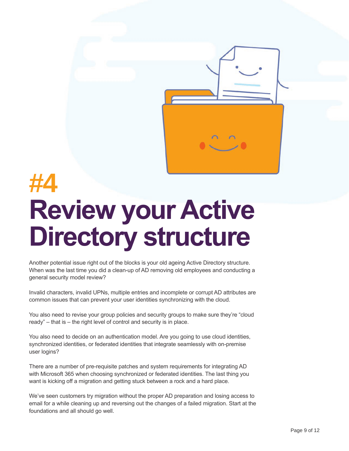

# **#4 Review your Active Directory structure**

Another potential issue right out of the blocks is your old ageing Active Directory structure. When was the last time you did a clean-up of AD removing old employees and conducting a general security model review?

Invalid characters, invalid UPNs, multiple entries and incomplete or corrupt AD attributes are common issues that can prevent your user identities synchronizing with the cloud.

You also need to revise your group policies and security groups to make sure they're "cloud ready" – that is – the right level of control and security is in place.

You also need to decide on an authentication model. Are you going to use cloud identities, synchronized identities, or federated identities that integrate seamlessly with on-premise user logins?

There are a number of pre-requisite patches and system requirements for integrating AD with Microsoft 365 when choosing synchronized or federated identities. The last thing you want is kicking off a migration and getting stuck between a rock and a hard place.

We've seen customers try migration without the proper AD preparation and losing access to email for a while cleaning up and reversing out the changes of a failed migration. Start at the foundations and all should go well.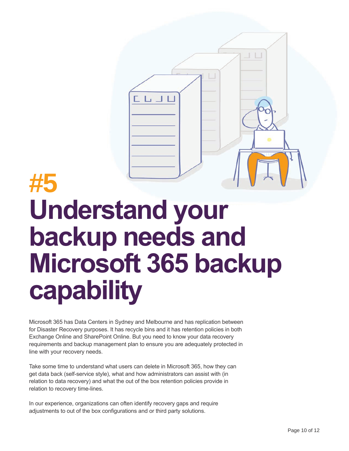

## **#5 Understand your backup needs and Microsoft 365 backup capability**

Microsoft 365 has Data Centers in Sydney and Melbourne and has replication between for Disaster Recovery purposes. It has recycle bins and it has retention policies in both Exchange Online and SharePoint Online. But you need to know your data recovery requirements and backup management plan to ensure you are adequately protected in line with your recovery needs.

Take some time to understand what users can delete in Microsoft 365, how they can get data back (self-service style), what and how administrators can assist with (in relation to data recovery) and what the out of the box retention policies provide in relation to recovery time-lines.

In our experience, organizations can often identify recovery gaps and require adjustments to out of the box configurations and or third party solutions.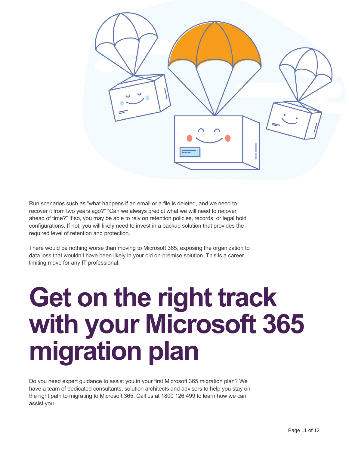

Run scenarios such as "what happens if an email or a file is deleted, and we need to recover it from two years ago?" "Can we always predict what we will need to recover ahead of time?" If so, you may be able to rely on retention policies, records, or legal hold configurations. If not, you will likely need to invest in a backup solution that provides the required level of retention and protection.

There would be nothing worse than moving to Microsoft 365, exposing the organization to data loss that wouldn't have been likely in your old on-premise solution. This is a career limiting move for any IT professional.

# **Get on the right track with your Microsoft 365 migration plan**

Do you need expert guidance to assist you in your first Microsoft 365 migration plan? We have a team of dedicated consultants, solution architects and advisors to help you stay on the right path to migrating to Microsoft 365. Call us at 1800 126 499 to learn how we can assist you.